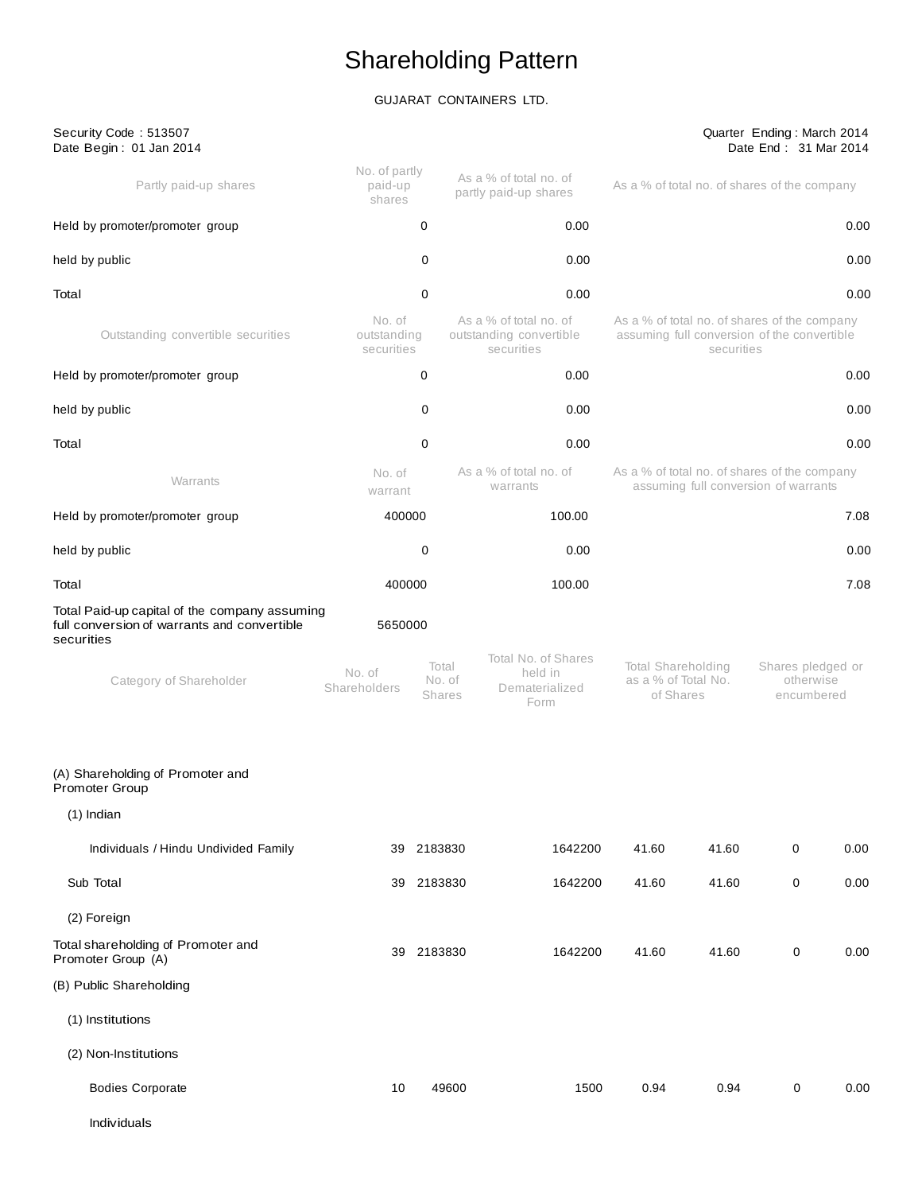# Shareholding Pattern

# GUJARAT CONTAINERS LTD.

| Security Code: 513507<br>Date Begin: 01 Jan 2014                                                           |                                     |                           |                                                                 |                                                        |            | Quarter Ending: March 2014<br>Date End: 31 Mar 2014                                         |      |
|------------------------------------------------------------------------------------------------------------|-------------------------------------|---------------------------|-----------------------------------------------------------------|--------------------------------------------------------|------------|---------------------------------------------------------------------------------------------|------|
| Partly paid-up shares                                                                                      | No. of partly<br>paid-up<br>shares  |                           | As a % of total no. of<br>partly paid-up shares                 |                                                        |            | As a % of total no. of shares of the company                                                |      |
| Held by promoter/promoter group                                                                            |                                     | 0                         | 0.00                                                            |                                                        |            |                                                                                             | 0.00 |
| held by public                                                                                             |                                     | 0                         | 0.00                                                            |                                                        |            |                                                                                             | 0.00 |
| Total                                                                                                      |                                     | 0                         | 0.00                                                            |                                                        |            |                                                                                             | 0.00 |
| Outstanding convertible securities                                                                         | No. of<br>outstanding<br>securities |                           | As a % of total no. of<br>outstanding convertible<br>securities |                                                        | securities | As a % of total no. of shares of the company<br>assuming full conversion of the convertible |      |
| Held by promoter/promoter group                                                                            |                                     | 0                         | 0.00                                                            |                                                        |            |                                                                                             | 0.00 |
| held by public                                                                                             |                                     | 0                         | 0.00                                                            |                                                        |            |                                                                                             | 0.00 |
| Total                                                                                                      |                                     | 0                         | 0.00                                                            |                                                        |            |                                                                                             | 0.00 |
| Warrants                                                                                                   | No. of<br>warrant                   |                           | As a % of total no. of<br>warrants                              |                                                        |            | As a % of total no. of shares of the company<br>assuming full conversion of warrants        |      |
| Held by promoter/promoter group                                                                            | 400000                              |                           | 100.00                                                          |                                                        |            |                                                                                             | 7.08 |
| held by public                                                                                             |                                     | 0                         | 0.00                                                            |                                                        |            |                                                                                             | 0.00 |
| Total                                                                                                      | 400000                              |                           | 100.00                                                          |                                                        |            |                                                                                             | 7.08 |
| Total Paid-up capital of the company assuming<br>full conversion of warrants and convertible<br>securities | 5650000                             |                           |                                                                 |                                                        |            |                                                                                             |      |
| Category of Shareholder                                                                                    | No. of<br>Shareholders              | Total<br>No. of<br>Shares | Total No. of Shares<br>held in<br>Dematerialized<br>Form        | Total Shareholding<br>as a % of Total No.<br>of Shares |            | Shares pledged or<br>otherwise<br>encumbered                                                |      |
| (A) Shareholding of Promoter and<br><b>Promoter Group</b>                                                  |                                     |                           |                                                                 |                                                        |            |                                                                                             |      |
| $(1)$ Indian                                                                                               |                                     |                           |                                                                 |                                                        |            |                                                                                             |      |
| Individuals / Hindu Undivided Family                                                                       |                                     | 39 2183830                | 1642200                                                         | 41.60                                                  | 41.60      | $\pmb{0}$                                                                                   | 0.00 |
| Sub Total                                                                                                  | 39                                  | 2183830                   | 1642200                                                         | 41.60                                                  | 41.60      | 0                                                                                           | 0.00 |
| (2) Foreign                                                                                                |                                     |                           |                                                                 |                                                        |            |                                                                                             |      |
| Total shareholding of Promoter and<br>Promoter Group (A)                                                   | 39                                  | 2183830                   | 1642200                                                         | 41.60                                                  | 41.60      | 0                                                                                           | 0.00 |
| (B) Public Shareholding                                                                                    |                                     |                           |                                                                 |                                                        |            |                                                                                             |      |
| (1) Institutions                                                                                           |                                     |                           |                                                                 |                                                        |            |                                                                                             |      |
| (2) Non-Institutions                                                                                       |                                     |                           |                                                                 |                                                        |            |                                                                                             |      |
| <b>Bodies Corporate</b>                                                                                    | 10                                  | 49600                     | 1500                                                            | 0.94                                                   | 0.94       | 0                                                                                           | 0.00 |
|                                                                                                            |                                     |                           |                                                                 |                                                        |            |                                                                                             |      |

Individuals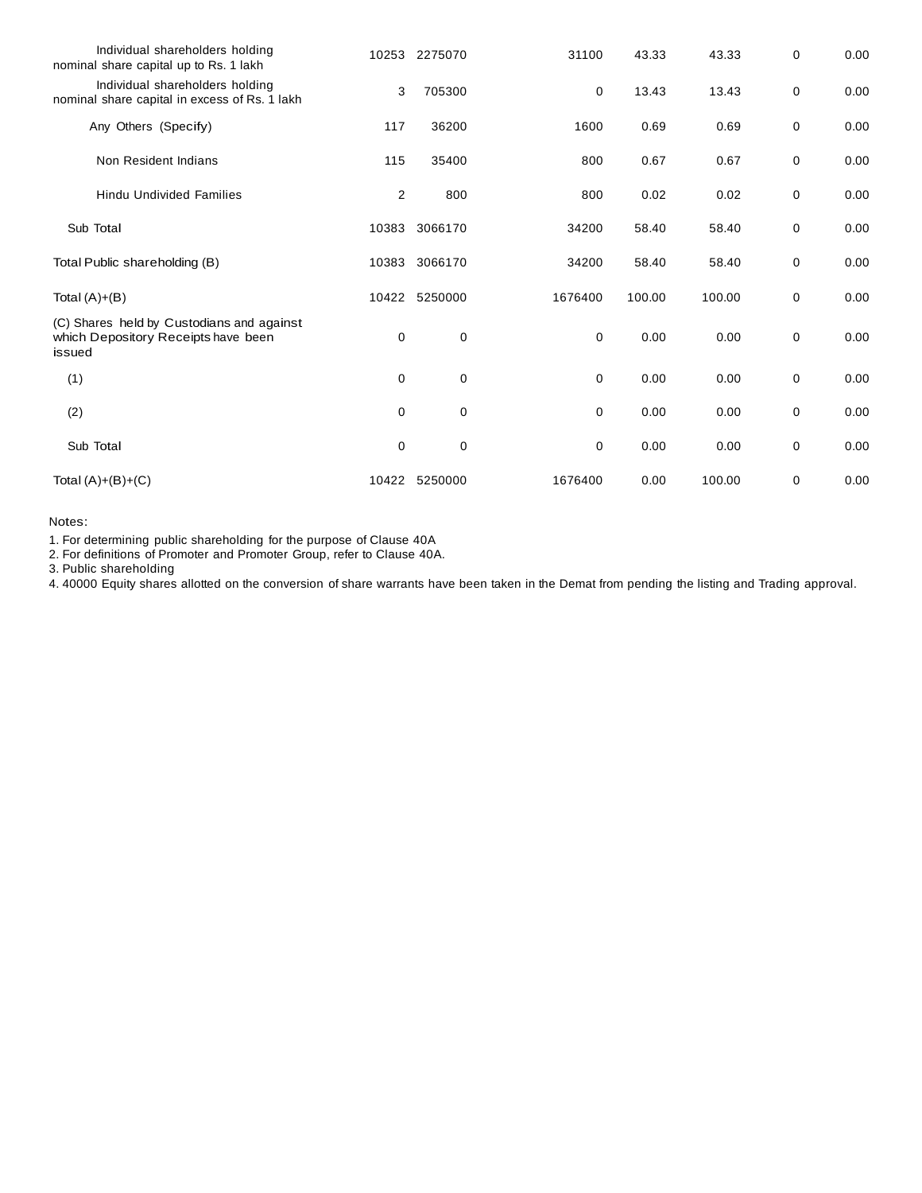| Individual shareholders holding<br>nominal share capital up to Rs. 1 lakh                  | 10253       | 2275070       | 31100       | 43.33  | 43.33  | 0 | 0.00 |
|--------------------------------------------------------------------------------------------|-------------|---------------|-------------|--------|--------|---|------|
| Individual shareholders holding<br>nominal share capital in excess of Rs. 1 lakh           | 3           | 705300        | 0           | 13.43  | 13.43  | 0 | 0.00 |
| Any Others (Specify)                                                                       | 117         | 36200         | 1600        | 0.69   | 0.69   | 0 | 0.00 |
| Non Resident Indians                                                                       | 115         | 35400         | 800         | 0.67   | 0.67   | 0 | 0.00 |
| <b>Hindu Undivided Families</b>                                                            | 2           | 800           | 800         | 0.02   | 0.02   | 0 | 0.00 |
| Sub Total                                                                                  | 10383       | 3066170       | 34200       | 58.40  | 58.40  | 0 | 0.00 |
| Total Public shareholding (B)                                                              | 10383       | 3066170       | 34200       | 58.40  | 58.40  | 0 | 0.00 |
| Total $(A)+(B)$                                                                            | 10422       | 5250000       | 1676400     | 100.00 | 100.00 | 0 | 0.00 |
| (C) Shares held by Custodians and against<br>which Depository Receipts have been<br>issued | 0           | $\mathbf 0$   | 0           | 0.00   | 0.00   | 0 | 0.00 |
| (1)                                                                                        | $\mathbf 0$ | $\mathbf 0$   | $\mathbf 0$ | 0.00   | 0.00   | 0 | 0.00 |
| (2)                                                                                        | 0           | $\mathbf 0$   | 0           | 0.00   | 0.00   | 0 | 0.00 |
| Sub Total                                                                                  | 0           | $\mathbf 0$   | 0           | 0.00   | 0.00   | 0 | 0.00 |
| Total $(A)+(B)+(C)$                                                                        |             | 10422 5250000 | 1676400     | 0.00   | 100.00 | 0 | 0.00 |

Notes:

1. For determining public shareholding for the purpose of Clause 40A

2. For definitions of Promoter and Promoter Group, refer to Clause 40A.

3. Public shareholding

4. 40000 Equity shares allotted on the conversion of share warrants have been taken in the Demat from pending the listing and Trading approval.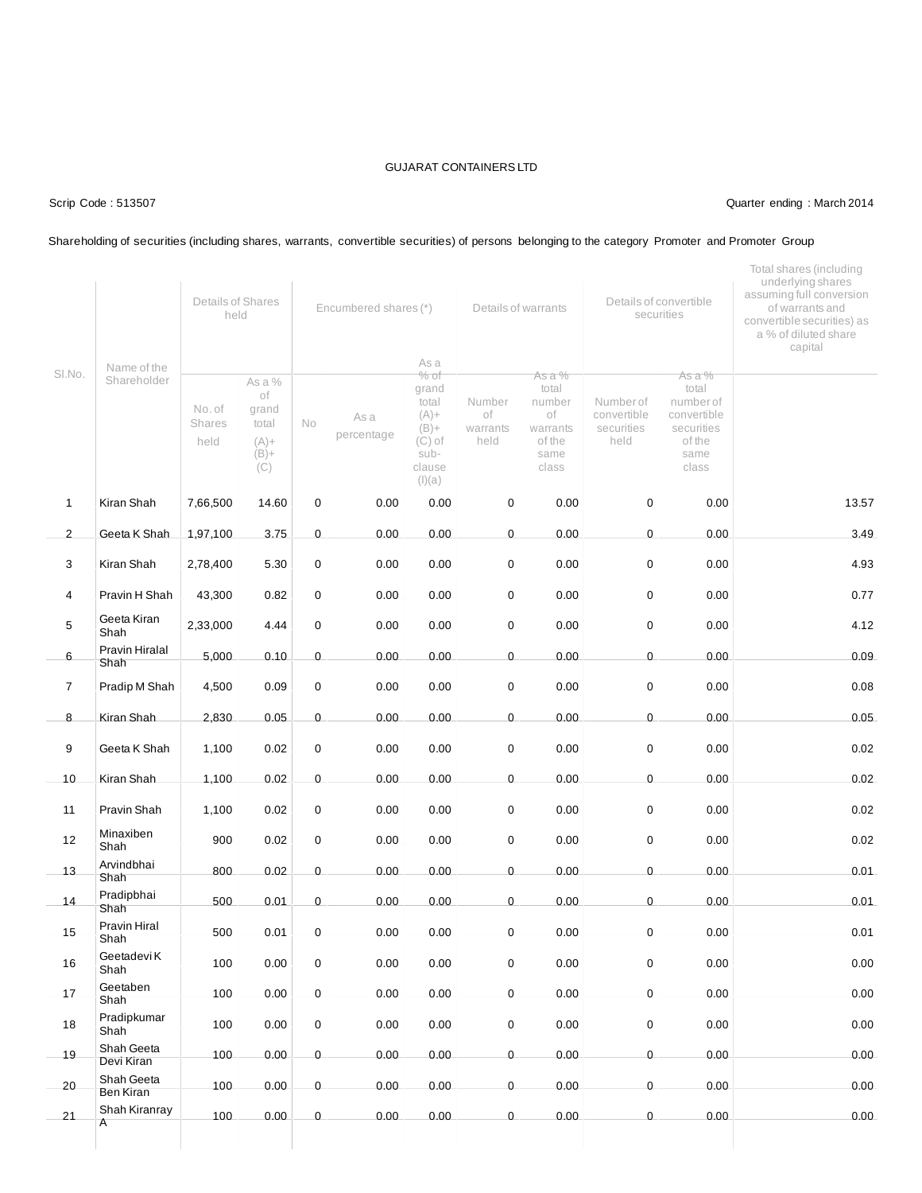### Scrip Code : 513507 Quarter ending : March 2014

### Shareholding of securities (including shares, warrants, convertible securities) of persons belonging to the category Promoter and Promoter Group

|                |                            | Details of Shares<br>held |                                                               | Encumbered shares (*) |                    |                                                                                                | Details of warrants              |                                                                        | Details of convertible<br>securities           |                                                                                      | Total shares (including<br>underlying shares<br>assuming full conversion<br>of warrants and<br>convertible securities) as<br>a % of diluted share<br>capital |  |
|----------------|----------------------------|---------------------------|---------------------------------------------------------------|-----------------------|--------------------|------------------------------------------------------------------------------------------------|----------------------------------|------------------------------------------------------------------------|------------------------------------------------|--------------------------------------------------------------------------------------|--------------------------------------------------------------------------------------------------------------------------------------------------------------|--|
| SI.No.         | Name of the<br>Shareholder | No. of<br>Shares<br>held  | As a $%$<br>of<br>grand<br>total<br>$(A) +$<br>$(B) +$<br>(C) | No                    | As a<br>percentage | As a<br>$%$ of<br>grand<br>total<br>$(A) +$<br>$(B) +$<br>$(C)$ of<br>sub-<br>clause<br>(I)(a) | Number<br>оf<br>warrants<br>held | As a %<br>total<br>number<br>of<br>warrants<br>of the<br>same<br>class | Number of<br>convertible<br>securities<br>held | As a %<br>total<br>number of<br>convertible<br>securities<br>of the<br>same<br>class |                                                                                                                                                              |  |
| $\mathbf{1}$   | Kiran Shah                 | 7,66,500                  | 14.60                                                         | 0                     | 0.00               | 0.00                                                                                           | 0                                | 0.00                                                                   | $\pmb{0}$                                      | 0.00                                                                                 | 13.57                                                                                                                                                        |  |
| $\overline{2}$ | Geeta K Shah               | 1,97,100                  | 3.75                                                          | 0                     | 0.00               | 0.00                                                                                           | 0                                | 0.00                                                                   | $\pmb{0}$                                      | 0.00                                                                                 | 3.49                                                                                                                                                         |  |
| 3              | Kiran Shah                 | 2,78,400                  | 5.30                                                          | 0                     | 0.00               | 0.00                                                                                           | 0                                | 0.00                                                                   | $\pmb{0}$                                      | 0.00                                                                                 | 4.93                                                                                                                                                         |  |
| $\overline{4}$ | Pravin H Shah              | 43,300                    | 0.82                                                          | 0                     | 0.00               | 0.00                                                                                           | 0                                | 0.00                                                                   | $\mathbf 0$                                    | 0.00                                                                                 | 0.77                                                                                                                                                         |  |
| 5              | Geeta Kiran<br>Shah        | 2,33,000                  | 4.44                                                          | 0                     | 0.00               | 0.00                                                                                           | 0                                | 0.00                                                                   | $\pmb{0}$                                      | 0.00                                                                                 | 4.12                                                                                                                                                         |  |
| 6              | Pravin Hiralal<br>Shah     | 5,000                     | 0.10                                                          | 0                     | 0.00               | 0.00                                                                                           | 0                                | 0.00                                                                   | $\pmb{0}$                                      | 0.00                                                                                 | 0.09                                                                                                                                                         |  |
| $\overline{7}$ | Pradip M Shah              | 4,500                     | 0.09                                                          | 0                     | 0.00               | 0.00                                                                                           | 0                                | 0.00                                                                   | $\mathbf 0$                                    | 0.00                                                                                 | 0.08                                                                                                                                                         |  |
| 8              | Kiran Shah                 | 2,830                     | 0.05                                                          | 0                     | 0.00               | 0.00                                                                                           | 0                                | 0.00                                                                   | $\mathbf 0$                                    | 0.00                                                                                 | 0.05                                                                                                                                                         |  |
| 9              | Geeta K Shah               | 1,100                     | 0.02                                                          | 0                     | 0.00               | 0.00                                                                                           | 0                                | 0.00                                                                   | $\pmb{0}$                                      | 0.00                                                                                 | 0.02                                                                                                                                                         |  |
| 10             | Kiran Shah                 | 1,100                     | 0.02                                                          | 0                     | 0.00               | 0.00                                                                                           | 0                                | 0.00                                                                   | $\mathbf 0$                                    | 0.00                                                                                 | 0.02                                                                                                                                                         |  |
| 11             | Pravin Shah                | 1,100                     | 0.02                                                          | 0                     | 0.00               | 0.00                                                                                           | 0                                | 0.00                                                                   | $\mathbf 0$                                    | 0.00                                                                                 | 0.02                                                                                                                                                         |  |
| 12             | Minaxiben<br>Shah          | 900                       | 0.02                                                          | 0                     | 0.00               | 0.00                                                                                           | 0                                | 0.00                                                                   | $\mathbf 0$                                    | 0.00                                                                                 | 0.02                                                                                                                                                         |  |
| 13             | Arvindbhai<br>Shah         | 800                       | 0.02                                                          | 0                     | 0.00               | 0.00                                                                                           | 0                                | 0.00                                                                   | $\pmb{0}$                                      | 0.00                                                                                 | 0.01                                                                                                                                                         |  |
| 14             | Pradipbhai<br>Shah         | 500                       | 0.01                                                          | 0                     | 0.00               | 0.00                                                                                           | 0                                | 0.00                                                                   | $\mathbf 0$                                    | 0.00                                                                                 | 0.01                                                                                                                                                         |  |
| 15             | Pravin Hiral<br>Shah       | 500                       | 0.01                                                          | 0                     | 0.00               | 0.00                                                                                           | 0                                | 0.00                                                                   | 0                                              | 0.00                                                                                 | 0.01                                                                                                                                                         |  |
| 16             | Geetadevi K<br>Shah        | 100                       | 0.00                                                          | 0                     | 0.00               | 0.00                                                                                           | 0                                | 0.00                                                                   | $\mathbf 0$                                    | 0.00                                                                                 | 0.00                                                                                                                                                         |  |
| 17             | Geetaben<br>Shah           | 100                       | 0.00                                                          | 0                     | 0.00               | 0.00                                                                                           | 0                                | 0.00                                                                   | 0                                              | 0.00                                                                                 | 0.00                                                                                                                                                         |  |
| 18             | Pradipkumar<br>Shah        | 100                       | 0.00                                                          | 0                     | 0.00               | 0.00                                                                                           | 0                                | 0.00                                                                   | $\pmb{0}$                                      | 0.00                                                                                 | 0.00                                                                                                                                                         |  |
| 19             | Shah Geeta<br>Devi Kiran   | 100                       | 0.00                                                          | 0                     | 0.00               | 0.00                                                                                           | 0                                | 0.00                                                                   | 0                                              | 0.00                                                                                 | 0.00                                                                                                                                                         |  |
| 20             | Shah Geeta<br>Ben Kiran    | 100                       | 0.00                                                          | 0                     | 0.00               | 0.00                                                                                           | 0                                | 0.00                                                                   | $\mathbf 0$                                    | 0.00                                                                                 | 0.00                                                                                                                                                         |  |
| 21             | Shah Kiranray<br>Α         | 100                       | 0.00                                                          | 0                     | 0.00               | 0.00                                                                                           | 0                                | 0.00                                                                   | 0                                              | 0.00                                                                                 | 0.00                                                                                                                                                         |  |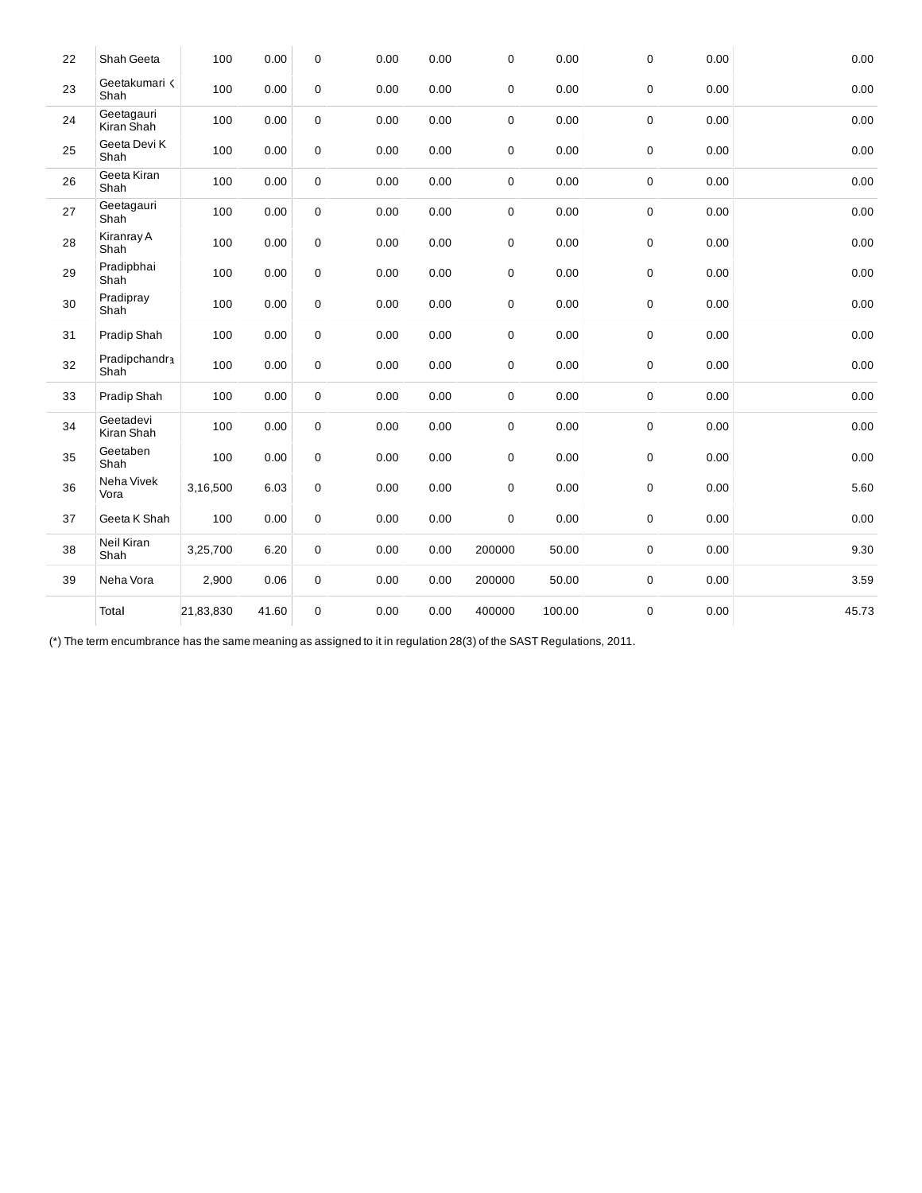| 22 | Shah Geeta               | 100       | 0.00  | $\mathbf 0$ | 0.00 | 0.00 | 0           | 0.00   | $\boldsymbol{0}$ | 0.00 | 0.00  |
|----|--------------------------|-----------|-------|-------------|------|------|-------------|--------|------------------|------|-------|
| 23 | Geetakumari <<br>Shah    | 100       | 0.00  | 0           | 0.00 | 0.00 | 0           | 0.00   | $\pmb{0}$        | 0.00 | 0.00  |
| 24 | Geetagauri<br>Kiran Shah | 100       | 0.00  | $\mathbf 0$ | 0.00 | 0.00 | 0           | 0.00   | $\pmb{0}$        | 0.00 | 0.00  |
| 25 | Geeta Devi K<br>Shah     | 100       | 0.00  | $\mathbf 0$ | 0.00 | 0.00 | $\pmb{0}$   | 0.00   | $\pmb{0}$        | 0.00 | 0.00  |
| 26 | Geeta Kiran<br>Shah      | 100       | 0.00  | $\mathbf 0$ | 0.00 | 0.00 | $\pmb{0}$   | 0.00   | $\pmb{0}$        | 0.00 | 0.00  |
| 27 | Geetagauri<br>Shah       | 100       | 0.00  | 0           | 0.00 | 0.00 | $\pmb{0}$   | 0.00   | $\pmb{0}$        | 0.00 | 0.00  |
| 28 | Kiranray A<br>Shah       | 100       | 0.00  | 0           | 0.00 | 0.00 | $\mathbf 0$ | 0.00   | $\pmb{0}$        | 0.00 | 0.00  |
| 29 | Pradipbhai<br>Shah       | 100       | 0.00  | 0           | 0.00 | 0.00 | 0           | 0.00   | $\pmb{0}$        | 0.00 | 0.00  |
| 30 | Pradipray<br>Shah        | 100       | 0.00  | 0           | 0.00 | 0.00 | $\mathbf 0$ | 0.00   | $\boldsymbol{0}$ | 0.00 | 0.00  |
| 31 | Pradip Shah              | 100       | 0.00  | $\mathbf 0$ | 0.00 | 0.00 | 0           | 0.00   | $\pmb{0}$        | 0.00 | 0.00  |
| 32 | Pradipchandra<br>Shah    | 100       | 0.00  | 0           | 0.00 | 0.00 | 0           | 0.00   | $\pmb{0}$        | 0.00 | 0.00  |
| 33 | Pradip Shah              | 100       | 0.00  | 0           | 0.00 | 0.00 | 0           | 0.00   | $\pmb{0}$        | 0.00 | 0.00  |
| 34 | Geetadevi<br>Kiran Shah  | 100       | 0.00  | 0           | 0.00 | 0.00 | $\pmb{0}$   | 0.00   | $\pmb{0}$        | 0.00 | 0.00  |
| 35 | Geetaben<br>Shah         | 100       | 0.00  | 0           | 0.00 | 0.00 | $\pmb{0}$   | 0.00   | $\pmb{0}$        | 0.00 | 0.00  |
| 36 | Neha Vivek<br>Vora       | 3,16,500  | 6.03  | 0           | 0.00 | 0.00 | $\pmb{0}$   | 0.00   | $\boldsymbol{0}$ | 0.00 | 5.60  |
| 37 | Geeta K Shah             | 100       | 0.00  | 0           | 0.00 | 0.00 | $\pmb{0}$   | 0.00   | $\pmb{0}$        | 0.00 | 0.00  |
| 38 | Neil Kiran<br>Shah       | 3,25,700  | 6.20  | $\mathbf 0$ | 0.00 | 0.00 | 200000      | 50.00  | $\pmb{0}$        | 0.00 | 9.30  |
| 39 | Neha Vora                | 2,900     | 0.06  | $\mathbf 0$ | 0.00 | 0.00 | 200000      | 50.00  | $\pmb{0}$        | 0.00 | 3.59  |
|    | Total                    | 21,83,830 | 41.60 | $\mathbf 0$ | 0.00 | 0.00 | 400000      | 100.00 | $\boldsymbol{0}$ | 0.00 | 45.73 |
|    |                          |           |       |             |      |      |             |        |                  |      |       |

(\*) The term encumbrance has the same meaning as assigned to it in regulation 28(3) of the SAST Regulations, 2011.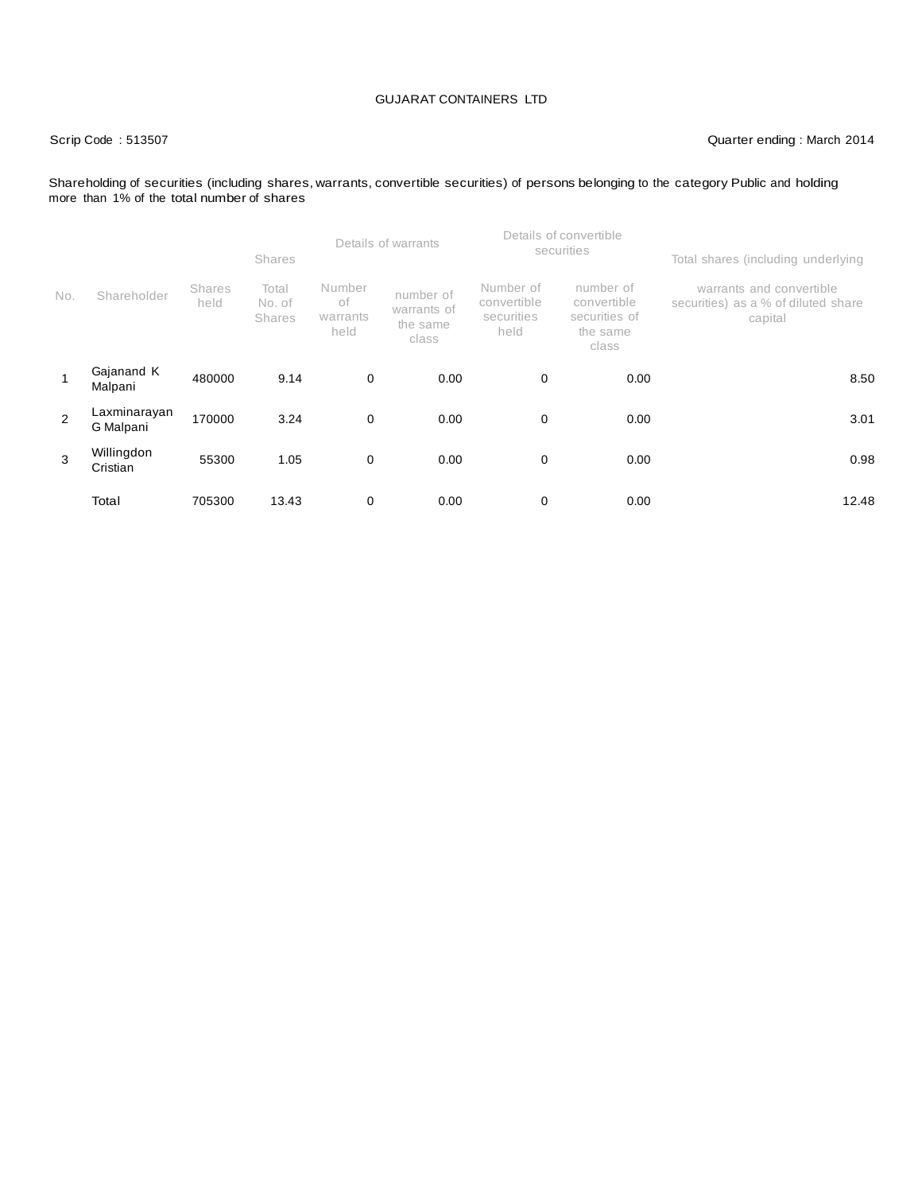## Scrip Code : 513507 Quarter ending : March 2014

### Shareholding of securities (including shares, warrants, convertible securities) of persons belonging to the category Public and holding more than 1% of the total number of shares

|     |                           |                       | <b>Shares</b>             |                                  | Details of warrants                           |                                                | Details of convertible<br>securities                           | Total shares (including underlying                                         |  |
|-----|---------------------------|-----------------------|---------------------------|----------------------------------|-----------------------------------------------|------------------------------------------------|----------------------------------------------------------------|----------------------------------------------------------------------------|--|
| No. | Shareholder               | <b>Shares</b><br>held | Total<br>No. of<br>Shares | Number<br>оf<br>warrants<br>held | number of<br>warrants of<br>the same<br>class | Number of<br>convertible<br>securities<br>held | number of<br>convertible<br>securities of<br>the same<br>class | warrants and convertible<br>securities) as a % of diluted share<br>capital |  |
| 1   | Gajanand K<br>Malpani     | 480000                | 9.14                      | 0                                | 0.00                                          | 0                                              | 0.00                                                           | 8.50                                                                       |  |
| 2   | Laxminarayan<br>G Malpani | 170000                | 3.24                      | $\mathbf 0$                      | 0.00                                          | 0                                              | 0.00                                                           | 3.01                                                                       |  |
| 3   | Willingdon<br>Cristian    | 55300                 | 1.05                      | $\mathbf 0$                      | 0.00                                          | 0                                              | 0.00                                                           | 0.98                                                                       |  |
|     | Total                     | 705300                | 13.43                     | 0                                | 0.00                                          | 0                                              | 0.00                                                           | 12.48                                                                      |  |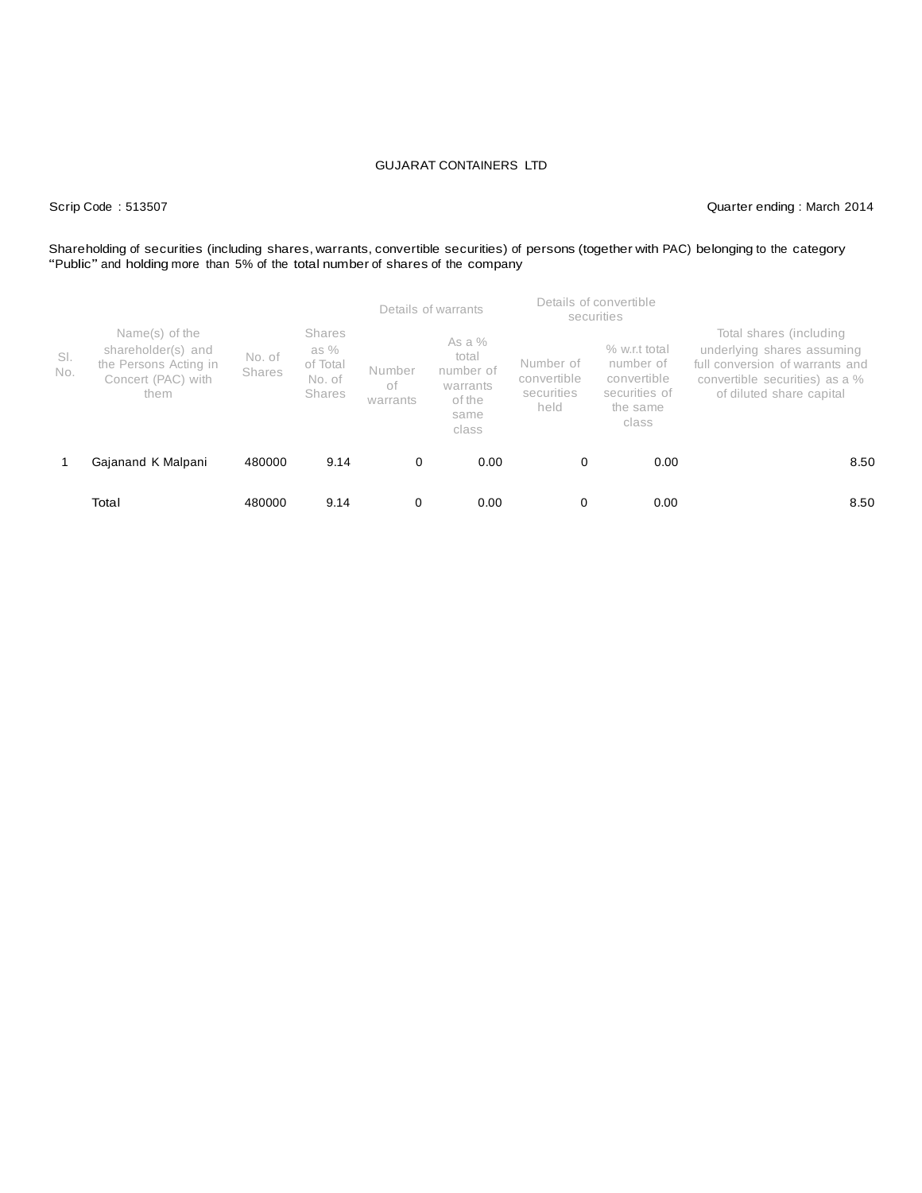Scrip Code : 513507 Quarter ending : March 2014

# Shareholding of securities (including shares, warrants, convertible securities) of persons (together with PAC) belonging to the category "Public" and holding more than 5% of the total number of shares of the company

|            |                                                                                             |                         |                                                       | Details of warrants      |                                                                       | Details of convertible<br>securities           |                                                                                 |                                                                                                                                                        |  |
|------------|---------------------------------------------------------------------------------------------|-------------------------|-------------------------------------------------------|--------------------------|-----------------------------------------------------------------------|------------------------------------------------|---------------------------------------------------------------------------------|--------------------------------------------------------------------------------------------------------------------------------------------------------|--|
| SI.<br>No. | Name(s) of the<br>shareholder(s) and<br>the Persons Acting in<br>Concert (PAC) with<br>them | No. of<br><b>Shares</b> | <b>Shares</b><br>as %<br>of Total<br>No. of<br>Shares | Number<br>оf<br>warrants | As a $%$<br>total<br>number of<br>warrants<br>of the<br>same<br>class | Number of<br>convertible<br>securities<br>held | % w.r.t total<br>number of<br>convertible<br>securities of<br>the same<br>class | Total shares (including<br>underlying shares assuming<br>full conversion of warrants and<br>convertible securities) as a %<br>of diluted share capital |  |
|            | Gajanand K Malpani                                                                          | 480000                  | 9.14                                                  | 0                        | 0.00                                                                  | 0                                              | 0.00                                                                            | 8.50                                                                                                                                                   |  |
|            | Total                                                                                       | 480000                  | 9.14                                                  | 0                        | 0.00                                                                  | 0                                              | 0.00                                                                            | 8.50                                                                                                                                                   |  |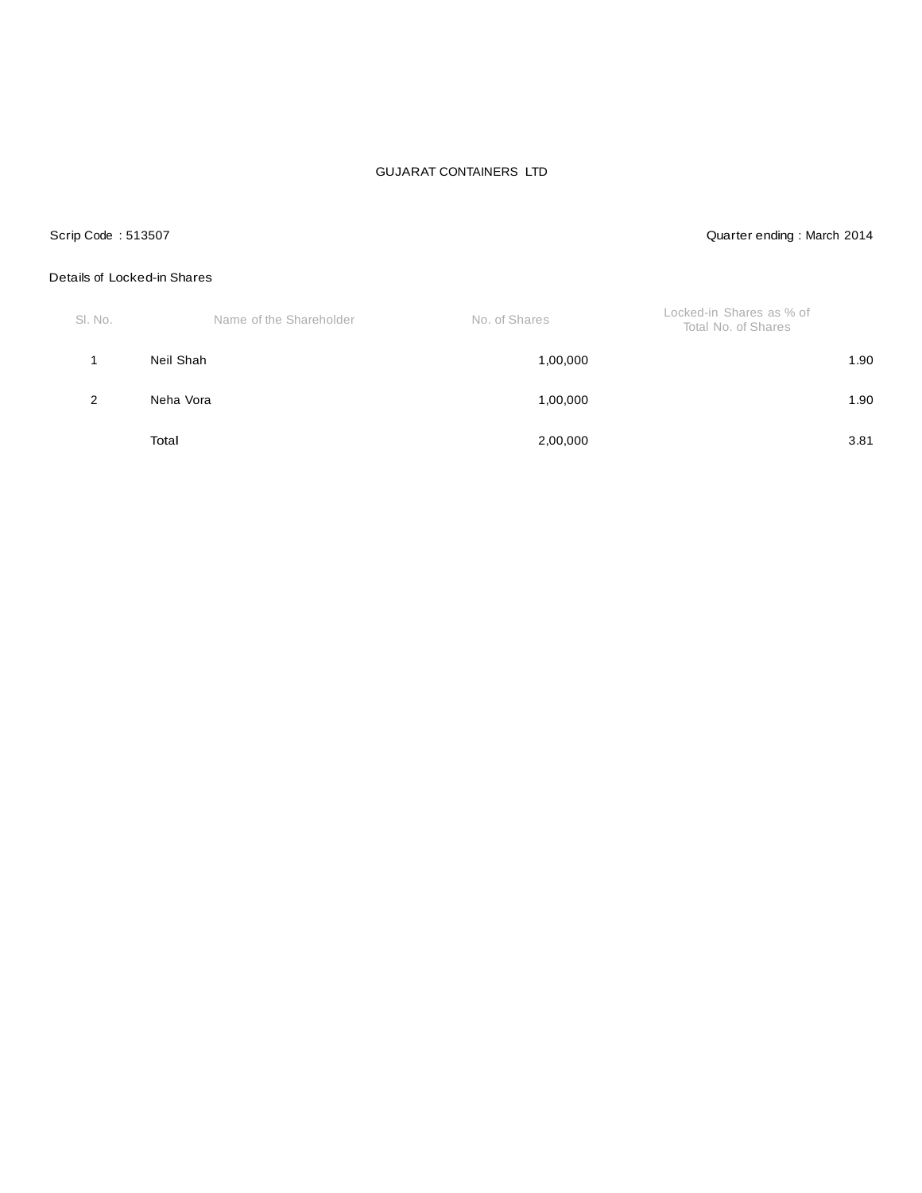## Scrip Code : 513507 Quarter ending : March 2014

### Details of Locked-in Shares

| SI. No. | Name of the Shareholder | No. of Shares | Locked-in Shares as % of<br>Total No. of Shares |      |
|---------|-------------------------|---------------|-------------------------------------------------|------|
|         | Neil Shah               | 1,00,000      |                                                 | 1.90 |
| 2       | Neha Vora               | 1,00,000      |                                                 | 1.90 |
|         | Total                   | 2,00,000      |                                                 | 3.81 |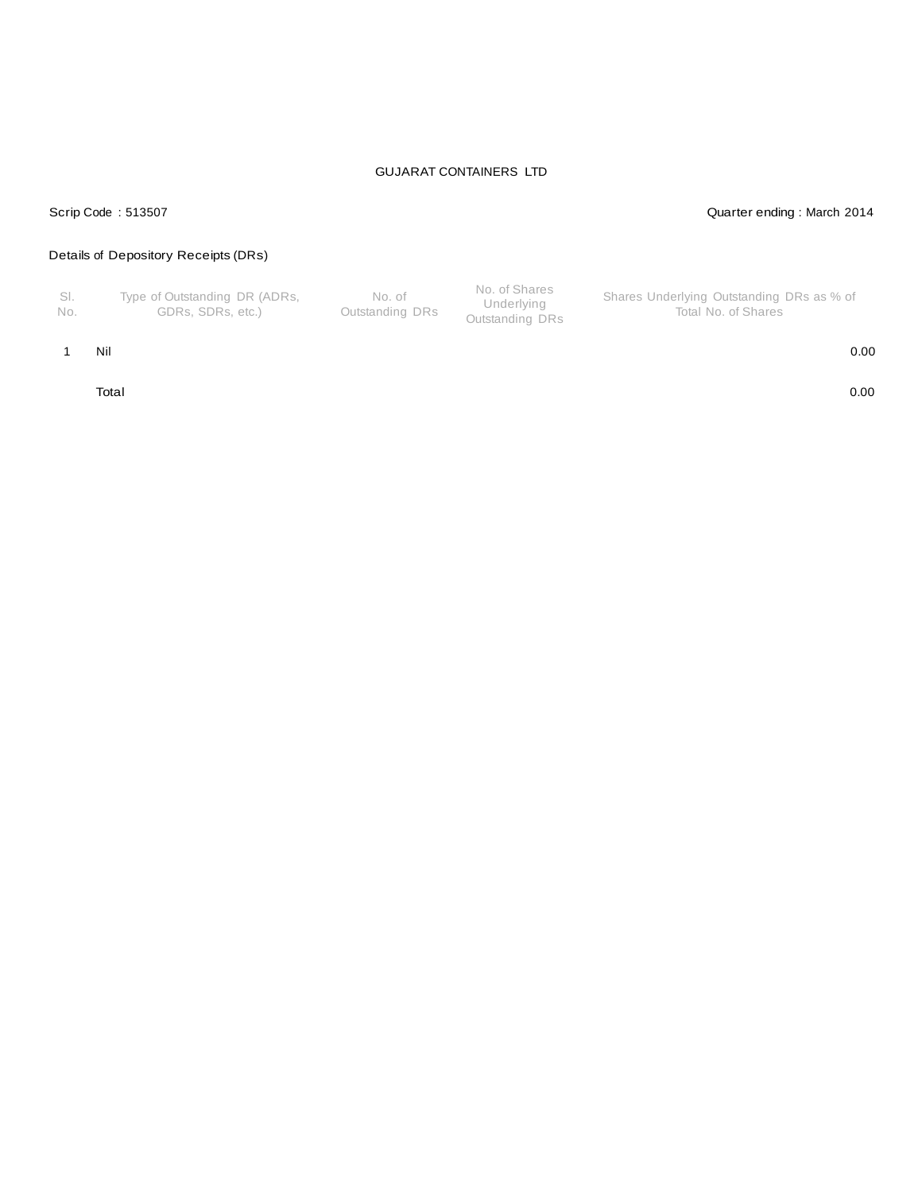### Scrip Code : 513507 Quarter ending : March 2014

## Details of Depository Receipts (DRs)

| - SI.<br>No. | Type of Outstanding DR (ADRs,<br>GDRs. SDRs. etc.) | No. of<br>Outstanding DRs | No. of Shares<br>Underlying<br>Outstanding DRs | Shares Underlying Outstanding DRs as % of<br>Total No. of Shares |
|--------------|----------------------------------------------------|---------------------------|------------------------------------------------|------------------------------------------------------------------|
|--------------|----------------------------------------------------|---------------------------|------------------------------------------------|------------------------------------------------------------------|

### 1 Nil 0.00

Total 0.00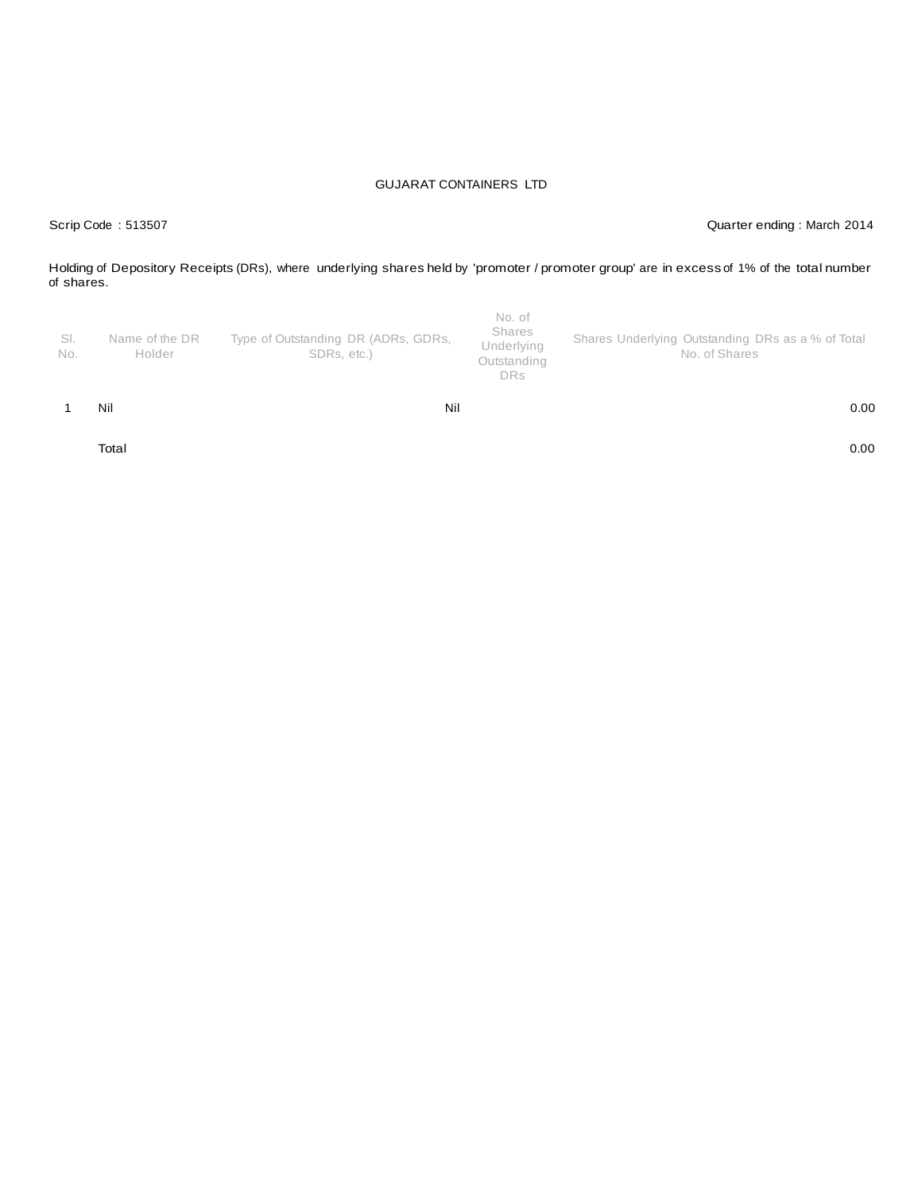Scrip Code : 513507 Quarter ending : March 2014

Holding of Depository Receipts (DRs), where underlying shares held by 'promoter / promoter group' are in excess of 1% of the total number of shares.

| SI.<br>No. | Name of the DR<br>Holder | Type of Outstanding DR (ADRs, GDRs,<br>SDRs, etc.) | No. of<br>Shares<br>Underlying<br>Outstanding<br><b>DRs</b> | Shares Underlying Outstanding DRs as a % of Total<br>No. of Shares |
|------------|--------------------------|----------------------------------------------------|-------------------------------------------------------------|--------------------------------------------------------------------|
|            | Nil                      | Nil                                                |                                                             | 0.00                                                               |

Total 0.00